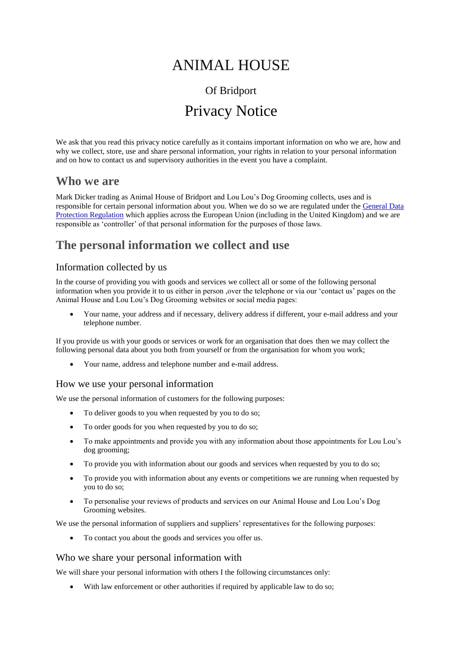# ANIMAL HOUSE

## Of Bridport Privacy Notice

We ask that you read this privacy notice carefully as it contains important information on who we are, how and why we collect, store, use and share personal information, your rights in relation to your personal information and on how to contact us and supervisory authorities in the event you have a complaint.

### **Who we are**

Mark Dicker trading as Animal House of Bridport and Lou Lou's Dog Grooming collects, uses and is responsible for certain personal information about you. When we do so we are regulated under the [General Data](http://eur-lex.europa.eu/legal-content/EN/TXT/PDF/?uri=CELEX:32016R0679&from=EN)  [Protection Regulation](http://eur-lex.europa.eu/legal-content/EN/TXT/PDF/?uri=CELEX:32016R0679&from=EN) which applies across the European Union (including in the United Kingdom) and we are responsible as 'controller' of that personal information for the purposes of those laws.

### **The personal information we collect and use**

#### Information collected by us

In the course of providing you with goods and services we collect all or some of the following personal information when you provide it to us either in person ,over the telephone or via our 'contact us' pages on the Animal House and Lou Lou's Dog Grooming websites or social media pages:

 Your name, your address and if necessary, delivery address if different, your e-mail address and your telephone number.

If you provide us with your goods or services or work for an organisation that does then we may collect the following personal data about you both from yourself or from the organisation for whom you work;

Your name, address and telephone number and e-mail address.

#### How we use your personal information

We use the personal information of customers for the following purposes:

- To deliver goods to you when requested by you to do so;
- To order goods for you when requested by you to do so;
- To make appointments and provide you with any information about those appointments for Lou Lou's dog grooming;
- To provide you with information about our goods and services when requested by you to do so;
- To provide you with information about any events or competitions we are running when requested by you to do so;
- To personalise your reviews of products and services on our Animal House and Lou Lou's Dog Grooming websites.

We use the personal information of suppliers and suppliers' representatives for the following purposes:

To contact you about the goods and services you offer us.

#### Who we share your personal information with

We will share your personal information with others I the following circumstances only:

With law enforcement or other authorities if required by applicable law to do so;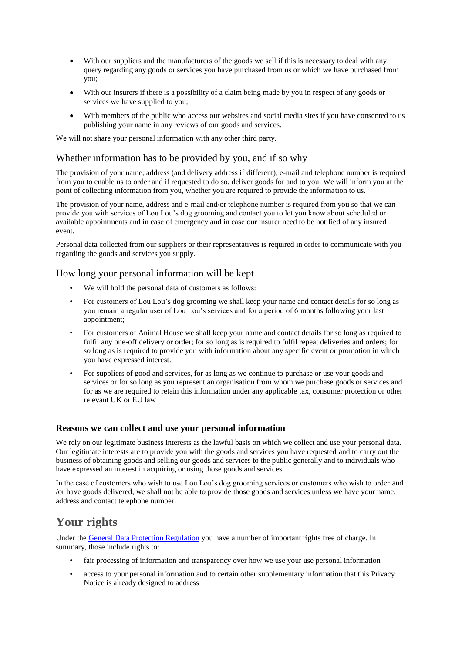- With our suppliers and the manufacturers of the goods we sell if this is necessary to deal with any query regarding any goods or services you have purchased from us or which we have purchased from you;
- With our insurers if there is a possibility of a claim being made by you in respect of any goods or services we have supplied to you;
- With members of the public who access our websites and social media sites if you have consented to us publishing your name in any reviews of our goods and services.

We will not share your personal information with any other third party.

#### Whether information has to be provided by you, and if so why

The provision of your name, address (and delivery address if different), e-mail and telephone number is required from you to enable us to order and if requested to do so, deliver goods for and to you. We will inform you at the point of collecting information from you, whether you are required to provide the information to us.

The provision of your name, address and e-mail and/or telephone number is required from you so that we can provide you with services of Lou Lou's dog grooming and contact you to let you know about scheduled or available appointments and in case of emergency and in case our insurer need to be notified of any insured event.

Personal data collected from our suppliers or their representatives is required in order to communicate with you regarding the goods and services you supply.

#### How long your personal information will be kept

- We will hold the personal data of customers as follows:
- For customers of Lou Lou's dog grooming we shall keep your name and contact details for so long as you remain a regular user of Lou Lou's services and for a period of 6 months following your last appointment;
- For customers of Animal House we shall keep your name and contact details for so long as required to fulfil any one-off delivery or order; for so long as is required to fulfil repeat deliveries and orders; for so long as is required to provide you with information about any specific event or promotion in which you have expressed interest.
- For suppliers of good and services, for as long as we continue to purchase or use your goods and services or for so long as you represent an organisation from whom we purchase goods or services and for as we are required to retain this information under any applicable tax, consumer protection or other relevant UK or EU law

#### **Reasons we can collect and use your personal information**

We rely on our legitimate business interests as the lawful basis on which we collect and use your personal data. Our legitimate interests are to provide you with the goods and services you have requested and to carry out the business of obtaining goods and selling our goods and services to the public generally and to individuals who have expressed an interest in acquiring or using those goods and services.

In the case of customers who wish to use Lou Lou's dog grooming services or customers who wish to order and /or have goods delivered, we shall not be able to provide those goods and services unless we have your name, address and contact telephone number.

## **Your rights**

Under the [General Data Protection Regulation](http://eur-lex.europa.eu/legal-content/EN/TXT/PDF/?uri=CELEX:32016R0679&from=EN) you have a number of important rights free of charge. In summary, those include rights to:

- fair processing of information and transparency over how we use your use personal information
- access to your personal information and to certain other supplementary information that this Privacy Notice is already designed to address